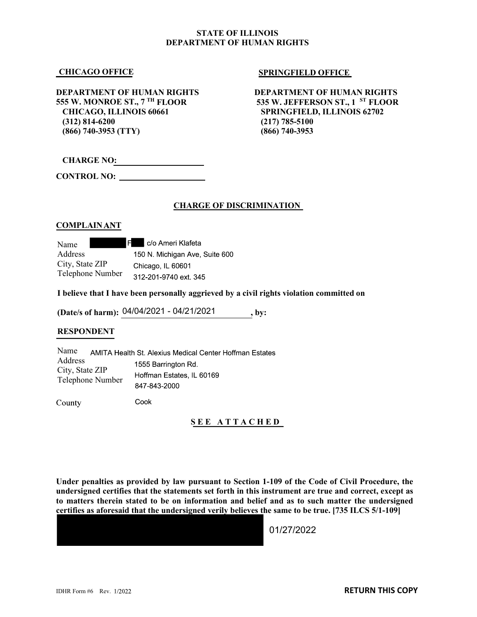## STATE OF ILLINOIS DEPARTMENT OF HUMAN RIGHTS

DEPARTMENT OF HUMAN RIGHTS DEPARTMENT OF HUMAN RIGHTS<br>555 W. MONROE ST., 7 <sup>TH</sup> FLOOR 535 W. JEFFERSON ST., 1 <sup>ST</sup> FLOOR  $\begin{array}{lcl} \text{STATE OF ILLINOIS} \\\text{DEPARTMENT OF HUMAN RIGHT} \\\text{DEPARTMENT OF HUMAN RIGHT} \\\text{555 S W. MONROE ST., 7 <sup>TH</sup> FLOOR} \\\text{CHICAGO, ILLINOIS 60661} \\\text{CHICAGO, ILLINOIS 6061} \\\text{312) 814-6200} \\\text{(866) 740-3953 (TTY)} \\\end{array} \quad \begin{array}{lcl} \text{SPRINGFIELD OFFICE} \\\text{DEPARTMENT OF HUMAN RIGHTS} \\\text{555 W. DIFFERSON ST., 1 <sup>ST</sup> FLOOR}$ CHICAGO, ILLINOIS 60661 SPRINGFIELD, ILLINOIS 62702

## **CHICAGO OFFICE** SPRINGFIELD OFFICE

 $\begin{tabular}{l|c|c|c|} \multicolumn{1}{c}{\textbf{STATE OF ILINOIS}}\\ \hline \multicolumn{1}{c}{\textbf{DEPARTMENT OF HUMAN RIGHT} \\ \hline \multicolumn{1}{c}{\textbf{EPARTMENT OF HUMAN RIGHTS}}\\ \hline \multicolumn{1}{c}{\textbf{SEARTMENT OF HUMAN RIGHTS}}\\ \hline \multicolumn{1}{c}{\textbf{SEARTMENT OF HUMAN RIGHTS}}\\ \hline \multicolumn{1}{c}{\textbf{SEARIMENT OF HUMAN RIGHTS}}\\ \hline \multicolumn{1}{c}{\textbf{SEARIMENT OF HUMAN RIGHTS}}\\ \hline \multicolumn{1}{c}{\textbf{SEAR$ STATE OF ILLINOIS<br>
DEPARTMENT OF HUMAN RIGHTS<br>
EPARTMENT OF HUMAN RIGHTS<br>
EPARTMENT OF HUMAN RIGHTS<br>
STRINGFIELD OFFICE<br>
CHICAGO, ILLINOIS 60661<br>
CHICAGO, ILLINOIS 60661<br>
(866) 740-3953 (TTY)<br>
(866) 740-3953<br>
CHARGE NO<u>:</u><br>

CHARGE NO:

CONTROL NO:

# CHARGE OF DISCRIMINATION

## **COMPLAIN ANT**

| Name             | F c/o Ameri Klafeta            |
|------------------|--------------------------------|
| <b>Address</b>   | 150 N. Michigan Ave, Suite 600 |
| City, State ZIP  | Chicago, IL 60601              |
| Telephone Number | 312-201-9740 ext. 345          |

I believe that I have been personally aggrieved by a civil rights violation committed on

(Date/s of harm): 04/04/2021 - 04/21/2021 , by:

## RESPONDENT

Name AMITA Health St. Alexius Medical Center Hoffman Estates Address<br>
1555 Barrington Rd. City, State ZIP<br>Hoffman Estates, IL 60169 Telephone Number Multiman Estate

County

Cook

## S E E A T T A C H E D

Under penalties as provided by law pursuant to Section 1-109 of the Code of Civil Procedure, the undersigned certifies that the statements set forth in this instrument are true and correct, except as to matters therein stated to be on information and belief and as to such matter the undersigned certifies as aforesaid that the undersigned verily believes the same to be true. [735 ILCS 5/1-109]

01/27/2022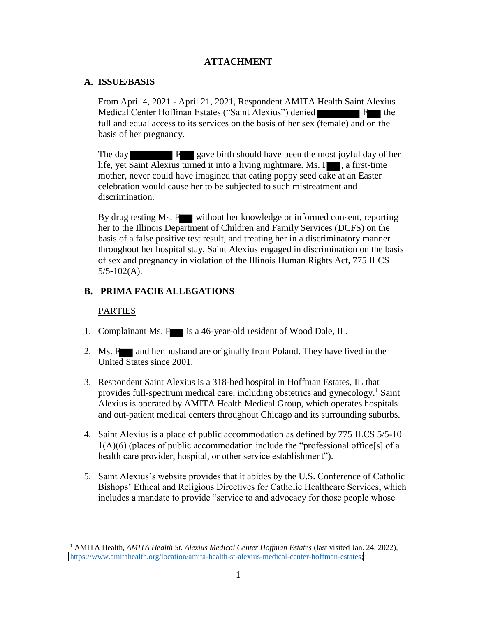# **ATTACHMENT**

# **A. ISSUE/BASIS**

From April 4, 2021 - April 21, 2021, Respondent AMITA Health Saint Alexius Medical Center Hoffman Estates ("Saint Alexius") denied full and equal access to its services on the basis of her sex (female) and on the basis of her pregnancy.

The day **F** gave birth should have been the most joyful day of her life, yet Saint Alexius turned it into a living nightmare. Ms.  $F_{\bullet}$ , a first-time mother, never could have imagined that eating poppy seed cake at an Easter celebration would cause her to be subjected to such mistreatment and discrimination.

By drug testing Ms. F without her knowledge or informed consent, reporting her to the Illinois Department of Children and Family Services (DCFS) on the basis of a false positive test result, and treating her in a discriminatory manner throughout her hospital stay, Saint Alexius engaged in discrimination on the basis of sex and pregnancy in violation of the Illinois Human Rights Act, 775 ILCS  $5/5 - 102(A)$ .

# **B. PRIMA FACIE ALLEGATIONS**

# **PARTIES**

 $\overline{a}$ 

- 1. Complainant Ms. Fig. is a 46-year-old resident of Wood Dale, IL.
- 2. Ms. Form and her husband are originally from Poland. They have lived in the United States since 2001.
- 3. Respondent Saint Alexius is a 318-bed hospital in Hoffman Estates, IL that provides full-spectrum medical care, including obstetrics and gynecology. <sup>1</sup> Saint Alexius is operated by AMITA Health Medical Group, which operates hospitals and out-patient medical centers throughout Chicago and its surrounding suburbs.
- 4. Saint Alexius is a place of public accommodation as defined by 775 ILCS 5/5-10  $1(A)(6)$  (places of public accommodation include the "professional office[s] of a health care provider, hospital, or other service establishment").
- 5. Saint Alexius's website provides that it abides by the U.S. Conference of Catholic Bishops' Ethical and Religious Directives for Catholic Healthcare Services, which includes a mandate to provide "service to and advocacy for those people whose

<sup>1</sup> AMITA Health, *AMITA Health St. Alexius Medical Center Hoffman Estates* (last visited Jan. 24, 2022), [https://www.amitahealth.org/location/amita-health-st-alexius-medical-center-hoffman-estates;](https://www.amitahealth.org/location/amita-health-st-alexius-medical-center-hoffman-estates)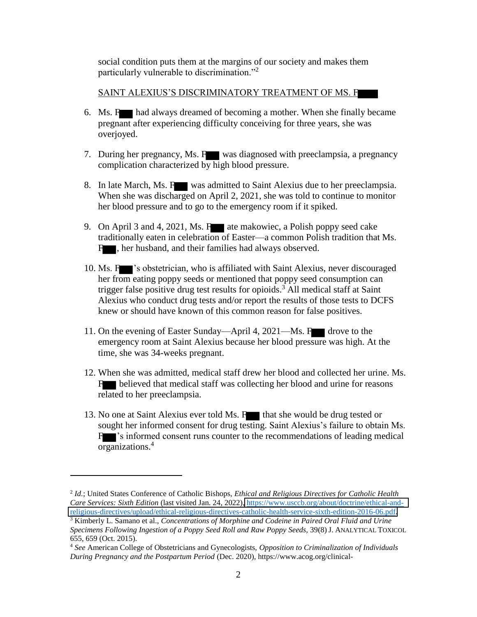social condition puts them at the margins of our society and makes them particularly vulnerable to discrimination."<sup>2</sup>

SAINT ALEXIUS'S DISCRIMINATORY TREATMENT OF MS. F

- 6. Ms. F had always dreamed of becoming a mother. When she finally became pregnant after experiencing difficulty conceiving for three years, she was overjoyed.
- 7. During her pregnancy, Ms. F was diagnosed with preeclampsia, a pregnancy complication characterized by high blood pressure.
- 8. In late March, Ms. F was admitted to Saint Alexius due to her preeclampsia. When she was discharged on April 2, 2021, she was told to continue to monitor her blood pressure and to go to the emergency room if it spiked.
- 9. On April 3 and 4, 2021, Ms. For ate makowiec, a Polish poppy seed cake traditionally eaten in celebration of Easter—a common Polish tradition that Ms. F , her husband, and their families had always observed.
- 10. Ms. F 's obstetrician, who is affiliated with Saint Alexius, never discouraged her from eating poppy seeds or mentioned that poppy seed consumption can trigger false positive drug test results for opioids.<sup>3</sup> All medical staff at Saint Alexius who conduct drug tests and/or report the results of those tests to DCFS knew or should have known of this common reason for false positives.
- 11. On the evening of Easter Sunday—April 4, 2021—Ms. F drove to the emergency room at Saint Alexius because her blood pressure was high. At the time, she was 34-weeks pregnant.
- 12. When she was admitted, medical staff drew her blood and collected her urine. Ms. F believed that medical staff was collecting her blood and urine for reasons related to her preeclampsia.
- 13. No one at Saint Alexius ever told Ms. F that she would be drug tested or sought her informed consent for drug testing. Saint Alexius's failure to obtain Ms. F 's informed consent runs counter to the recommendations of leading medical organizations.<sup>4</sup>

 $\overline{a}$ 

<sup>2</sup> *Id.*; United States Conference of Catholic Bishops, *Ethical and Religious Directives for Catholic Health Care Services: Sixth Edition (last visited Jan. 24, 2022)[, https://www.usccb.org/about/doctrine/ethical-and](https://www.usccb.org/about/doctrine/ethical-and-religious-directives/upload/ethical-religious-directives-catholic-health-service-sixth-edition-2016-06.pdf)*[religious-directives/upload/ethical-religious-directives-catholic-health-service-sixth-edition-2016-06.pdf.](https://www.usccb.org/about/doctrine/ethical-and-religious-directives/upload/ethical-religious-directives-catholic-health-service-sixth-edition-2016-06.pdf)

<sup>3</sup> Kimberly L. Samano et al., *Concentrations of Morphine and Codeine in Paired Oral Fluid and Urine Specimens Following Ingestion of a Poppy Seed Roll and Raw Poppy Seeds,* 39(8) J. ANALYTICAL TOXICOL 655, 659 (Oct. 2015).

<sup>4</sup> *See* American College of Obstetricians and Gynecologists, *Opposition to Criminalization of Individuals During Pregnancy and the Postpartum Period* (Dec. 2020), https://www.acog.org/clinical-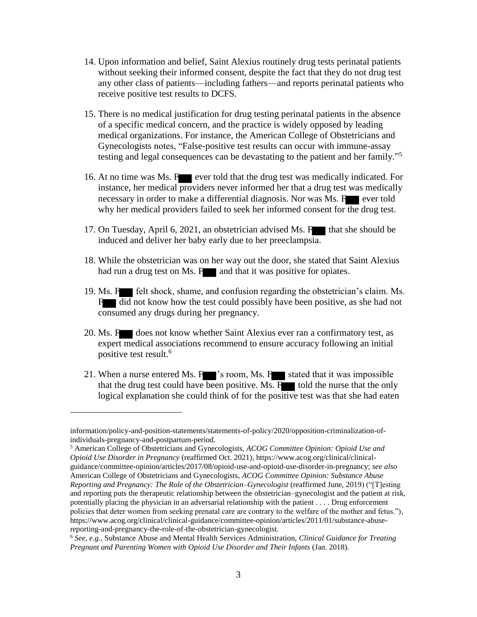- 14. Upon information and belief, Saint Alexius routinely drug tests perinatal patients without seeking their informed consent, despite the fact that they do not drug test any other class of patients—including fathers—and reports perinatal patients who receive positive test results to DCFS.
- 15. There is no medical justification for drug testing perinatal patients in the absence of a specific medical concern, and the practice is widely opposed by leading medical organizations. For instance, the American College of Obstetricians and Gynecologists notes, "False-positive test results can occur with immune-assay testing and legal consequences can be devastating to the patient and her family."<sup>5</sup>
- 16. At no time was Ms. F ever told that the drug test was medically indicated. For instance, her medical providers never informed her that a drug test was medically necessary in order to make a differential diagnosis. Nor was Ms. F ever told why her medical providers failed to seek her informed consent for the drug test.
- 17. On Tuesday, April 6, 2021, an obstetrician advised Ms. F that she should be induced and deliver her baby early due to her preeclampsia.
- 18. While the obstetrician was on her way out the door, she stated that Saint Alexius had run a drug test on Ms.  $F_{\bullet}$  and that it was positive for opiates.
- 19. Ms. F felt shock, shame, and confusion regarding the obstetrician's claim. Ms. F did not know how the test could possibly have been positive, as she had not consumed any drugs during her pregnancy.
- 20. Ms. F does not know whether Saint Alexius ever ran a confirmatory test, as expert medical associations recommend to ensure accuracy following an initial positive test result.<sup>6</sup>
- 21. When a nurse entered Ms.  $F$  's room, Ms.  $F$  stated that it was impossible that the drug test could have been positive. Ms.  $F$  told the nurse that the only logical explanation she could think of for the positive test was that she had eaten

 $\overline{a}$ 

information/policy-and-position-statements/statements-of-policy/2020/opposition-criminalization-ofindividuals-pregnancy-and-postpartum-period.

<sup>5</sup> American College of Obstetricians and Gynecologists, *ACOG Committee Opinion: Opioid Use and Opioid Use Disorder in Pregnancy* (reaffirmed Oct. 2021), https://www.acog.org/clinical/clinicalguidance/committee-opinion/articles/2017/08/opioid-use-and-opioid-use-disorder-in-pregnancy; *see also*  American College of Obstetricians and Gynecologists, *ACOG Committee Opinion: Substance Abuse Reporting and Pregnancy: The Role of the Obstetrician–Gynecologist* (reaffirmed June, 2019) ("[T]esting and reporting puts the therapeutic relationship between the obstetrician–gynecologist and the patient at risk, potentially placing the physician in an adversarial relationship with the patient . . . . Drug enforcement policies that deter women from seeking prenatal care are contrary to the welfare of the mother and fetus."), https://www.acog.org/clinical/clinical-guidance/committee-opinion/articles/2011/01/substance-abusereporting-and-pregnancy-the-role-of-the-obstetrician-gynecologist.

<sup>6</sup> *See, e.g.*, Substance Abuse and Mental Health Services Administration, *Clinical Guidance for Treating Pregnant and Parenting Women with Opioid Use Disorder and Their Infants* (Jan. 2018).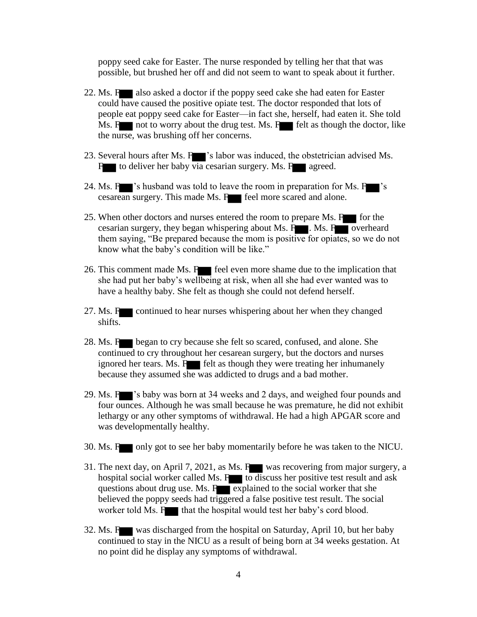poppy seed cake for Easter. The nurse responded by telling her that that was possible, but brushed her off and did not seem to want to speak about it further.

- 22. Ms. F also asked a doctor if the poppy seed cake she had eaten for Easter could have caused the positive opiate test. The doctor responded that lots of people eat poppy seed cake for Easter—in fact she, herself, had eaten it. She told Ms. F not to worry about the drug test. Ms.  $F$  felt as though the doctor, like the nurse, was brushing off her concerns.
- 23. Several hours after Ms. F 's labor was induced, the obstetrician advised Ms. F to deliver her baby via cesarian surgery. Ms. F agreed.
- 24. Ms. F 's husband was told to leave the room in preparation for Ms. F 's cesarean surgery. This made Ms. F feel more scared and alone.
- 25. When other doctors and nurses entered the room to prepare Ms. F for the cesarian surgery, they began whispering about Ms.  $\overline{F}$ . Ms.  $\overline{F}$  overheard them saying, "Be prepared because the mom is positive for opiates, so we do not know what the baby's condition will be like."
- 26. This comment made Ms. F feel even more shame due to the implication that she had put her baby's wellbeing at risk, when all she had ever wanted was to have a healthy baby. She felt as though she could not defend herself.
- 27. Ms. F continued to hear nurses whispering about her when they changed shifts.
- 28. Ms. F began to cry because she felt so scared, confused, and alone. She continued to cry throughout her cesarean surgery, but the doctors and nurses ignored her tears. Ms. F felt as though they were treating her inhumanely because they assumed she was addicted to drugs and a bad mother.
- 29. Ms. F 's baby was born at 34 weeks and 2 days, and weighed four pounds and four ounces. Although he was small because he was premature, he did not exhibit lethargy or any other symptoms of withdrawal. He had a high APGAR score and was developmentally healthy.
- 30. Ms. F only got to see her baby momentarily before he was taken to the NICU.
- 31. The next day, on April 7, 2021, as Ms. F was recovering from major surgery, a hospital social worker called Ms.  $F$  to discuss her positive test result and ask questions about drug use. Ms.  $F$  explained to the social worker that she believed the poppy seeds had triggered a false positive test result. The social worker told Ms. Find that the hospital would test her baby's cord blood.
- 32. Ms. F was discharged from the hospital on Saturday, April 10, but her baby continued to stay in the NICU as a result of being born at 34 weeks gestation. At no point did he display any symptoms of withdrawal.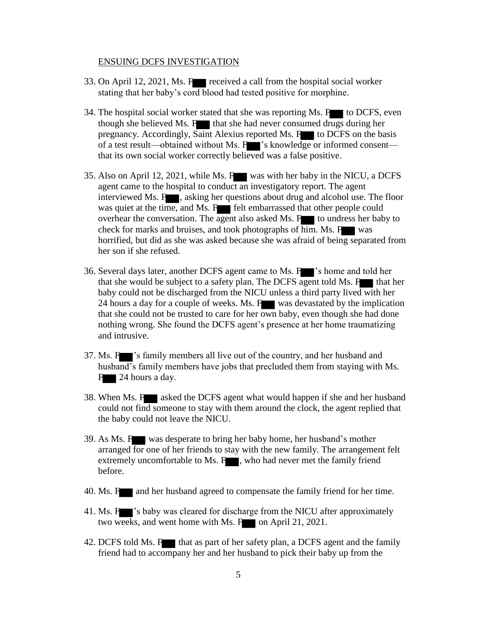### ENSUING DCFS INVESTIGATION

- 33. On April 12, 2021, Ms. F received a call from the hospital social worker stating that her baby's cord blood had tested positive for morphine.
- 34. The hospital social worker stated that she was reporting  $Ms$ .  $F$  to DCFS, even though she believed Ms.  $F_{\bullet}$  that she had never consumed drugs during her pregnancy. Accordingly, Saint Alexius reported Ms.  $F_{\text{max}}$  to DCFS on the basis of a test result—obtained without Ms. F 's knowledge or informed consent that its own social worker correctly believed was a false positive.
- 35. Also on April 12, 2021, while Ms. F was with her baby in the NICU, a DCFS agent came to the hospital to conduct an investigatory report. The agent interviewed Ms.  $F_{\Box}$ , asking her questions about drug and alcohol use. The floor was quiet at the time, and Ms. F felt embarrassed that other people could overhear the conversation. The agent also asked Ms.  $F$  to undress her baby to check for marks and bruises, and took photographs of  $\overline{\text{him}}$ . Ms. F was horrified, but did as she was asked because she was afraid of being separated from her son if she refused.
- 36. Several days later, another DCFS agent came to Ms. F 's home and told her that she would be subject to a safety plan. The DCFS agent told Ms.  $F_{\bullet}$  that her baby could not be discharged from the NICU unless a third party lived with her 24 hours a day for a couple of weeks. Ms. F was devastated by the implication that she could not be trusted to care for her own baby, even though she had done nothing wrong. She found the DCFS agent's presence at her home traumatizing and intrusive.
- 37. Ms. F 's family members all live out of the country, and her husband and husband's family members have jobs that precluded them from staying with Ms. F 24 hours a day.
- 38. When Ms. F asked the DCFS agent what would happen if she and her husband could not find someone to stay with them around the clock, the agent replied that the baby could not leave the NICU.
- 39. As Ms. F was desperate to bring her baby home, her husband's mother arranged for one of her friends to stay with the new family. The arrangement felt extremely uncomfortable to Ms. F , who had never met the family friend before.
- 40. Ms. F and her husband agreed to compensate the family friend for her time.
- 41. Ms. F 's baby was cleared for discharge from the NICU after approximately two weeks, and went home with Ms.  $F$  on April 21, 2021.
- 42. DCFS told Ms. F that as part of her safety plan, a DCFS agent and the family friend had to accompany her and her husband to pick their baby up from the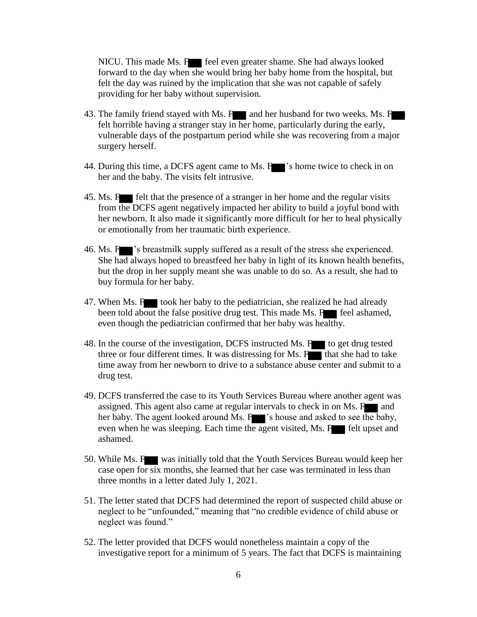NICU. This made Ms. Figure feel even greater shame. She had always looked forward to the day when she would bring her baby home from the hospital, but felt the day was ruined by the implication that she was not capable of safely providing for her baby without supervision.

- 43. The family friend stayed with Ms. F and her husband for two weeks. Ms. F felt horrible having a stranger stay in her home, particularly during the early, vulnerable days of the postpartum period while she was recovering from a major surgery herself.
- 44. During this time, a DCFS agent came to Ms. Fighter 's home twice to check in on her and the baby. The visits felt intrusive.
- 45. Ms. F felt that the presence of a stranger in her home and the regular visits from the DCFS agent negatively impacted her ability to build a joyful bond with her newborn. It also made it significantly more difficult for her to heal physically or emotionally from her traumatic birth experience.
- 46. Ms. F 's breastmilk supply suffered as a result of the stress she experienced. She had always hoped to breastfeed her baby in light of its known health benefits, but the drop in her supply meant she was unable to do so. As a result, she had to buy formula for her baby.
- 47. When Ms. F took her baby to the pediatrician, she realized he had already been told about the false positive drug test. This made Ms.  $F$  feel ashamed, even though the pediatrician confirmed that her baby was healthy.
- 48. In the course of the investigation, DCFS instructed Ms. For to get drug tested three or four different times. It was distressing for Ms.  $\overline{F}$  that she had to take time away from her newborn to drive to a substance abuse center and submit to a drug test.
- 49. DCFS transferred the case to its Youth Services Bureau where another agent was assigned. This agent also came at regular intervals to check in on Ms.  $F_{\bullet}$  and her baby. The agent looked around Ms.  $F$   $\triangleright$  's house and asked to see the baby, even when he was sleeping. Each time the agent visited, Ms.  $F$  felt upset and ashamed.
- 50. While Ms. F was initially told that the Youth Services Bureau would keep her case open for six months, she learned that her case was terminated in less than three months in a letter dated July 1, 2021.
- 51. The letter stated that DCFS had determined the report of suspected child abuse or neglect to be "unfounded," meaning that "no credible evidence of child abuse or neglect was found."
- 52. The letter provided that DCFS would nonetheless maintain a copy of the investigative report for a minimum of 5 years. The fact that DCFS is maintaining